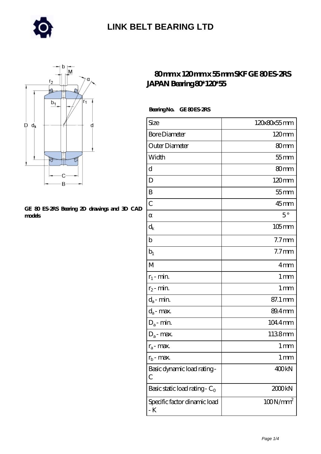



#### **[GE 80 ES-2RS Bearing 2D drawings and 3D CAD](https://merionartblog.com/pic-250684.html) [models](https://merionartblog.com/pic-250684.html)**

#### **[80 mm x 120 mm x 55 mm SKF GE 80 ES-2RS](https://merionartblog.com/ai-250684-skf-ge-80-es-2rs-japan-bearing-80-120-55.html) [JAPAN Bearing 80\\*120\\*55](https://merionartblog.com/ai-250684-skf-ge-80-es-2rs-japan-bearing-80-120-55.html)**

Bearing No. GE 80 ES-2RS

| Size                                | 120x80x55mm          |
|-------------------------------------|----------------------|
| <b>Bore Diameter</b>                | $120 \text{mm}$      |
| Outer Diameter                      | 80mm                 |
| Width                               | $55$ mm              |
| d                                   | 80 <sub>mm</sub>     |
| D                                   | 120mm                |
| B                                   | $55$ mm              |
| $\overline{C}$                      | $45$ mm              |
|                                     | $5^{\circ}$          |
| $d_k$                               | $105$ mm             |
| b                                   | 7.7 <sub>mm</sub>    |
| $b_1$                               | $7.7$ mm             |
| M                                   | 4mm                  |
| $r_1$ - min.                        | 1 <sub>mm</sub>      |
| $r_2$ - min.                        | 1 <sub>mm</sub>      |
| $d_{\boldsymbol{a}}$ - $min$        | 87.1 mm              |
| $d_a$ - max.                        | 89.4mm               |
| $D_a$ - min.                        | 104.4mm              |
| $D_a$ - max.                        | 1138mm               |
| $r_a$ - max.                        | 1 mm                 |
| $r_{\rm b}$ - max.                  | $1 \,\mathrm{mm}$    |
| Basic dynamic load rating-<br>С     | 400kN                |
| Basic static load rating - $C_0$    | 2000kN               |
| Specific factor dinamic load<br>- K | 100N/mm <sup>2</sup> |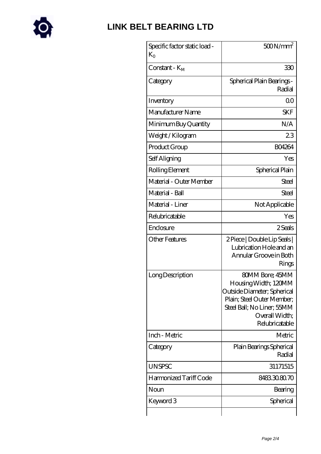

| Specific factor static load -<br>$K_{O}$ | $500N/mm^2$                                                                                                                                                                   |
|------------------------------------------|-------------------------------------------------------------------------------------------------------------------------------------------------------------------------------|
| Constant - K <sub>M</sub>                | 330                                                                                                                                                                           |
| Category                                 | Spherical Plain Bearings -<br>Radial                                                                                                                                          |
| Inventory                                | 00                                                                                                                                                                            |
| Manufacturer Name                        | <b>SKF</b>                                                                                                                                                                    |
| Minimum Buy Quantity                     | N/A                                                                                                                                                                           |
| Weight/Kilogram                          | 23                                                                                                                                                                            |
| Product Group                            | <b>BO4264</b>                                                                                                                                                                 |
| Self Aligning                            | Yes                                                                                                                                                                           |
| Rolling Element                          | Spherical Plain                                                                                                                                                               |
| Material - Outer Member                  | Steel                                                                                                                                                                         |
| Material - Ball                          | Steel                                                                                                                                                                         |
| Material - Liner                         | Not Applicable                                                                                                                                                                |
| Relubricatable                           | Yes                                                                                                                                                                           |
| Enclosure                                | 2 Seals                                                                                                                                                                       |
| <b>Other Features</b>                    | 2 Piece   Double Lip Seals  <br>Lubrication Hole and an<br>Annular Groove in Both<br>Rings                                                                                    |
| Long Description                         | <b>80MM Bore; 45MM</b><br>Housing Width; 120MM<br>Outside Diameter; Spherical<br>Plain; Steel Outer Member;<br>Steel Ball; No Liner; 55MM<br>Overall Width;<br>Relubricatable |
| Inch - Metric                            | Metric                                                                                                                                                                        |
| Category                                 | Plain Bearings Spherical<br>Radial                                                                                                                                            |
| <b>UNSPSC</b>                            | 31171515                                                                                                                                                                      |
| Harmonized Tariff Code                   | 8483308070                                                                                                                                                                    |
| Noun                                     | Bearing                                                                                                                                                                       |
| Keyword 3                                | Spherical                                                                                                                                                                     |
|                                          |                                                                                                                                                                               |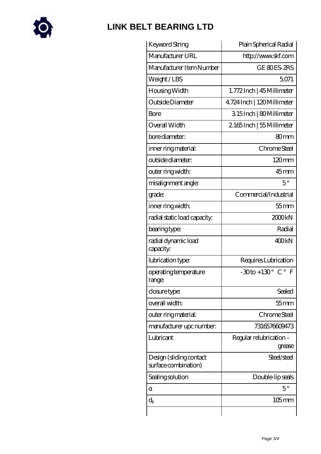

| Keyword String                                  | Plain Spherical Radial                                 |
|-------------------------------------------------|--------------------------------------------------------|
| Manufacturer URL                                | http://www.skf.com                                     |
| Manufacturer Item Number                        | GE 80ES-2RS                                            |
| Weight/LBS                                      | 5071                                                   |
| Housing Width                                   | 1.772Inch   45 Millimeter                              |
| Outside Diameter                                | 4.724 Inch   120 Millimeter                            |
| <b>Bore</b>                                     | 315Inch   80Millimeter                                 |
| Overall Width                                   | 2165Inch   55 Millimeter                               |
| bore diameter:                                  | 80 <sub>mm</sub>                                       |
| inner ring material:                            | Chrome Steel                                           |
| outside diameter:                               | 120mm                                                  |
| outer ring width:                               | $45$ <sub>mm</sub>                                     |
| misalignment angle:                             | $5^{\circ}$                                            |
| grade:                                          | Commercial/Industrial                                  |
| inner ring width:                               | $55$ mm                                                |
| radial static load capacity:                    | 2000kN                                                 |
| bearing type:                                   | Radial                                                 |
| radial dynamic load<br>capacity:                | 400 <sub>kN</sub>                                      |
| lubrication type:                               | Requires Lubrication                                   |
| operating temperature<br>range:                 | $-30$ to + 130 $^{\circ}$ C $^{\circ}$<br>$\mathbf{F}$ |
| closure type:                                   | Sealed                                                 |
| overall width:                                  | $55$ mm                                                |
| outer ring material:                            | Chrome Steel                                           |
| manufacturer upc number:                        | 7316576609473                                          |
| Lubricant                                       | Regular relubrication-<br>grease                       |
| Design (sliding contact<br>surface combination) | Steel/steel                                            |
| Sealing solution                                | Double-lip seals                                       |
|                                                 | $5^{\circ}$                                            |
| $\mathrm{d}_{\mathsf{k}}$                       | $105$ mm                                               |
|                                                 |                                                        |